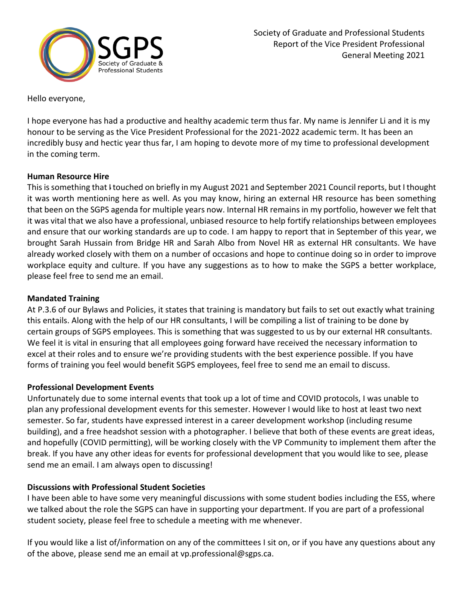

Hello everyone,

I hope everyone has had a productive and healthy academic term thus far. My name is Jennifer Li and it is my honour to be serving as the Vice President Professional for the 2021-2022 academic term. It has been an incredibly busy and hectic year thus far, I am hoping to devote more of my time to professional development in the coming term.

# **Human Resource Hire**

This is something that I touched on briefly in my August 2021 and September 2021 Council reports, but I thought it was worth mentioning here as well. As you may know, hiring an external HR resource has been something that been on the SGPS agenda for multiple years now. Internal HR remains in my portfolio, however we felt that it was vital that we also have a professional, unbiased resource to help fortify relationships between employees and ensure that our working standards are up to code. I am happy to report that in September of this year, we brought Sarah Hussain from Bridge HR and Sarah Albo from Novel HR as external HR consultants. We have already worked closely with them on a number of occasions and hope to continue doing so in order to improve workplace equity and culture. If you have any suggestions as to how to make the SGPS a better workplace, please feel free to send me an email.

# **Mandated Training**

At P.3.6 of our Bylaws and Policies, it states that training is mandatory but fails to set out exactly what training this entails. Along with the help of our HR consultants, I will be compiling a list of training to be done by certain groups of SGPS employees. This is something that was suggested to us by our external HR consultants. We feel it is vital in ensuring that all employees going forward have received the necessary information to excel at their roles and to ensure we're providing students with the best experience possible. If you have forms of training you feel would benefit SGPS employees, feel free to send me an email to discuss.

# **Professional Development Events**

Unfortunately due to some internal events that took up a lot of time and COVID protocols, I was unable to plan any professional development events for this semester. However I would like to host at least two next semester. So far, students have expressed interest in a career development workshop (including resume building), and a free headshot session with a photographer. I believe that both of these events are great ideas, and hopefully (COVID permitting), will be working closely with the VP Community to implement them after the break. If you have any other ideas for events for professional development that you would like to see, please send me an email. I am always open to discussing!

# **Discussions with Professional Student Societies**

I have been able to have some very meaningful discussions with some student bodies including the ESS, where we talked about the role the SGPS can have in supporting your department. If you are part of a professional student society, please feel free to schedule a meeting with me whenever.

If you would like a list of/information on any of the committees I sit on, or if you have any questions about any of the above, please send me an email at vp.professional@sgps.ca.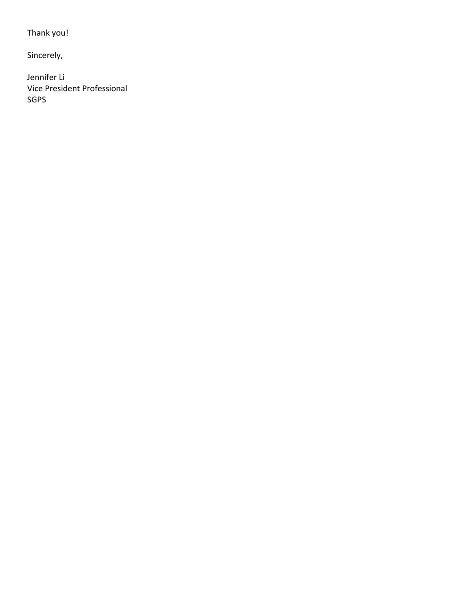Thank you!

Sincerely,

Jennifer Li Vice President Professional SGPS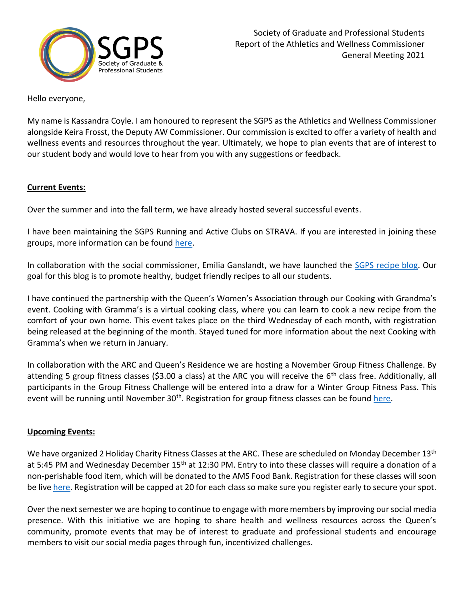

Hello everyone,

My name is Kassandra Coyle. I am honoured to represent the SGPS as the Athletics and Wellness Commissioner alongside Keira Frosst, the Deputy AW Commissioner. Our commission is excited to offer a variety of health and wellness events and resources throughout the year. Ultimately, we hope to plan events that are of interest to our student body and would love to hear from you with any suggestions or feedback.

# **Current Events:**

Over the summer and into the fall term, we have already hosted several successful events.

I have been maintaining the SGPS Running and Active Clubs on STRAVA. If you are interested in joining these groups, more information can be found [here.](https://sgps.ca/strava-running-club/)

In collaboration with the social commissioner, Emilia Ganslandt, we have launched the [SGPS recipe blog.](https://sgps.ca/recipe-blog/) Our goal for this blog is to promote healthy, budget friendly recipes to all our students.

I have continued the partnership with the Queen's Women's Association through our Cooking with Grandma's event. Cooking with Gramma's is a virtual cooking class, where you can learn to cook a new recipe from the comfort of your own home. This event takes place on the third Wednesday of each month, with registration being released at the beginning of the month. Stayed tuned for more information about the next Cooking with Gramma's when we return in January.

In collaboration with the ARC and Queen's Residence we are hosting a November Group Fitness Challenge. By attending 5 group fitness classes (\$3.00 a class) at the ARC you will receive the 6<sup>th</sup> class free. Additionally, all participants in the Group Fitness Challenge will be entered into a draw for a Winter Group Fitness Pass. This event will be running until November 30<sup>th</sup>. Registration for group fitness classes can be found *here*.

## **Upcoming Events:**

We have organized 2 Holiday Charity Fitness Classes at the ARC. These are scheduled on Monday December 13<sup>th</sup> at 5:45 PM and Wednesday December 15<sup>th</sup> at 12:30 PM. Entry to into these classes will require a donation of a non-perishable food item, which will be donated to the AMS Food Bank. Registration for these classes will soon be live [here.](https://getactive.gogaelsgo.com/Program/GetProgramDetails?courseId=4f26ec1f-a503-4334-bece-9f4d519c392a&semesterId=4726868d-532e-4baa-b56c-713fa5dd45d1) Registration will be capped at 20 for each class so make sure you register early to secure your spot.

Over the next semester we are hoping to continue to engage with more members by improving our social media presence. With this initiative we are hoping to share health and wellness resources across the Queen's community, promote events that may be of interest to graduate and professional students and encourage members to visit our social media pages through fun, incentivized challenges.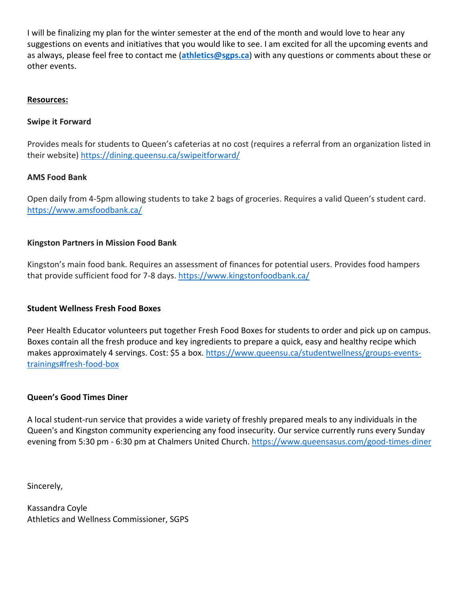I will be finalizing my plan for the winter semester at the end of the month and would love to hear any suggestions on events and initiatives that you would like to see. I am excited for all the upcoming events and as always, please feel free to contact me (**[athletics@sgps.ca](mailto:athletics@sgps.ca)**) with any questions or comments about these or other events.

## **Resources:**

## **Swipe it Forward**

Provides meals for students to Queen's cafeterias at no cost (requires a referral from an organization listed in their website) <https://dining.queensu.ca/swipeitforward/>

# **AMS Food Bank**

Open daily from 4-5pm allowing students to take 2 bags of groceries. Requires a valid Queen's student card. <https://www.amsfoodbank.ca/>

# **Kingston Partners in Mission Food Bank**

Kingston's main food bank. Requires an assessment of finances for potential users. Provides food hampers that provide sufficient food for 7-8 days.<https://www.kingstonfoodbank.ca/>

## **Student Wellness Fresh Food Boxes**

Peer Health Educator volunteers put together Fresh Food Boxes for students to order and pick up on campus. Boxes contain all the fresh produce and key ingredients to prepare a quick, easy and healthy recipe which makes approximately 4 servings. Cost: \$5 a box[. https://www.queensu.ca/studentwellness/groups-events](https://www.queensu.ca/studentwellness/groups-events-trainings#fresh-food-box)[trainings#fresh-food-box](https://www.queensu.ca/studentwellness/groups-events-trainings#fresh-food-box)

## **Queen's Good Times Diner**

A local student-run service that provides a wide variety of freshly prepared meals to any individuals in the Queen's and Kingston community experiencing any food insecurity. Our service currently runs every Sunday evening from 5:30 pm - 6:30 pm at [Chalmers United Church.](https://www.google.com/maps/dir/Chalmers+United+Church,+212+Barrie+St,+Kingston,+ON+K7L+2L8/@44.4898817,-78.3619238,8z/data=!4m9!4m8!1m0!1m5!1m1!1s0x4cd2ab017dd87701:0x217d8384debf95ab!2m2!1d-76.4907269!2d44.229275!3e0)<https://www.queensasus.com/good-times-diner>

Sincerely,

Kassandra Coyle Athletics and Wellness Commissioner, SGPS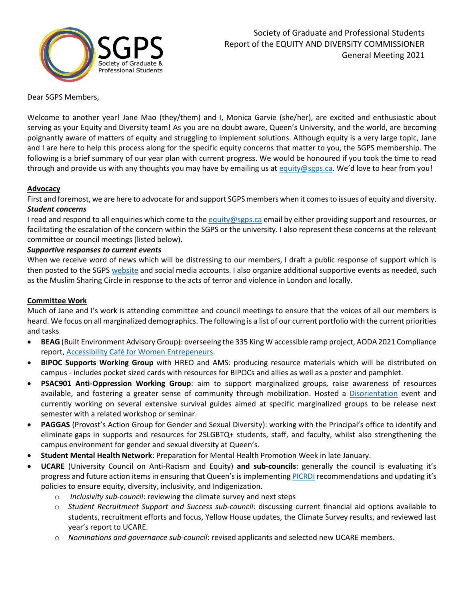

Dear SGPS Members,

Welcome to another year! Jane Mao (they/them) and I, Monica Garvie (she/her), are excited and enthusiastic about serving as your Equity and Diversity team! As you are no doubt aware, Queen's University, and the world, are becoming poignantly aware of matters of equity and struggling to implement solutions. Although equity is a very large topic, Jane and I are here to help this process along for the specific equity concerns that matter to you, the SGPS membership. The following is a brief summary of our year plan with current progress. We would be honoured if you took the time to read through and provide us with any thoughts you may have by emailing us at [equity@sgps.ca.](mailto:equity@sgps.ca) We'd love to hear from you!

### **Advocacy**

First and foremost, we are here to advocate for and support SGPS members when it comes to issues of equity and diversity. *Student concerns*

I read and respond to all enquiries which come to the [equity@sgps.ca](mailto:equity@sgps.ca) email by either providing support and resources, or facilitating the escalation of the concern within the SGPS or the university. I also represent these concerns at the relevant committee or council meetings (listed below).

#### *Supportive responses to current events*

When we receive word of news which will be distressing to our members, I draft a public response of support which is then posted to the SGPS [website](https://sgps.ca/news/) and social media accounts. I also organize additional supportive events as needed, such as the Muslim Sharing Circle in response to the acts of terror and violence in London and locally.

#### **Committee Work**

Much of Jane and I's work is attending committee and council meetings to ensure that the voices of all our members is heard. We focus on all marginalized demographics. The following is a list of our current portfolio with the current priorities and tasks

- **BEAG** (Built Environment Advisory Group): overseeing the 335 King W accessible ramp project, AODA 2021 Compliance report[, Accessibility Café for Women Entrepeneurs.](https://www.eventbrite.ca/e/accessibility-cafe-for-women-entrepreneurs-tickets-188377771987)
- **BIPOC Supports Working Group** with HREO and AMS: producing resource materials which will be distributed on campus - includes pocket sized cards with resources for BIPOCs and allies as well as a poster and pamphlet.
- **PSAC901 Anti-Oppression Working Group**: aim to support marginalized groups, raise awareness of resources available, and fostering a greater sense of community through mobilization. Hosted a [Disorientation](https://www.queensjournal.ca/story/2021-09-27/news/psac-901-and-sgps-host-disorientation/?fbclid=IwAR1H47TjnR-ObEi74SIpUOR2Jz0wdT0tmYCsIZkE7GYqsrjSPGOax5vjLzk) event and currently working on several extensive survival guides aimed at specific marginalized groups to be release next semester with a related workshop or seminar.
- **PAGGAS** (Provost's Action Group for Gender and Sexual Diversity): working with the Principal's office to identify and eliminate gaps in supports and resources for 2SLGBTQ+ students, staff, and faculty, whilst also strengthening the campus environment for gender and sexual diversity at Queen's.
- **Student Mental Health Network**: Preparation for Mental Health Promotion Week in late January.
- **UCARE** (University Council on Anti-Racism and Equity) **and sub-councils**: generally the council is evaluating it's progress and future action items in ensuring that Queen's is implementing [PICRDI](https://www.queensu.ca/inclusive/initiatives/picrdi) recommendations and updating it's policies to ensure equity, diversity, inclusivity, and Indigenization.
	- o *Inclusivity sub-council*: reviewing the climate survey and next steps
	- o *Student Recruitment Support and Success sub-council*: discussing current financial aid options available to students, recruitment efforts and focus, Yellow House updates, the Climate Survey results, and reviewed last year's report to UCARE.
	- o *Nominations and governance sub-council*: revised applicants and selected new UCARE members.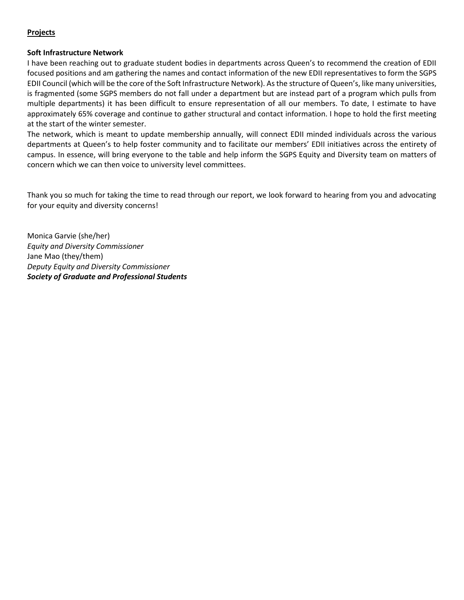## **Projects**

#### **Soft Infrastructure Network**

I have been reaching out to graduate student bodies in departments across Queen's to recommend the creation of EDII focused positions and am gathering the names and contact information of the new EDII representatives to form the SGPS EDII Council (which will be the core of the Soft Infrastructure Network). As the structure of Queen's, like many universities, is fragmented (some SGPS members do not fall under a department but are instead part of a program which pulls from multiple departments) it has been difficult to ensure representation of all our members. To date, I estimate to have approximately 65% coverage and continue to gather structural and contact information. I hope to hold the first meeting at the start of the winter semester.

The network, which is meant to update membership annually, will connect EDII minded individuals across the various departments at Queen's to help foster community and to facilitate our members' EDII initiatives across the entirety of campus. In essence, will bring everyone to the table and help inform the SGPS Equity and Diversity team on matters of concern which we can then voice to university level committees.

Thank you so much for taking the time to read through our report, we look forward to hearing from you and advocating for your equity and diversity concerns!

Monica Garvie (she/her) *Equity and Diversity Commissioner* Jane Mao (they/them) *Deputy Equity and Diversity Commissioner Society of Graduate and Professional Students*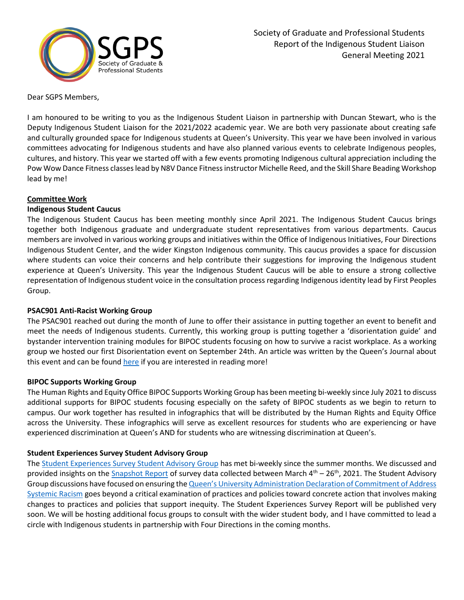

Dear SGPS Members,

I am honoured to be writing to you as the Indigenous Student Liaison in partnership with Duncan Stewart, who is the Deputy Indigenous Student Liaison for the 2021/2022 academic year. We are both very passionate about creating safe and culturally grounded space for Indigenous students at Queen's University. This year we have been involved in various committees advocating for Indigenous students and have also planned various events to celebrate Indigenous peoples, cultures, and history. This year we started off with a few events promoting Indigenous cultural appreciation including the Pow Wow Dance Fitness classes lead by N8V Dance Fitness instructor Michelle Reed, and the Skill Share Beading Workshop lead by me!

### **Committee Work**

#### **Indigenous Student Caucus**

The Indigenous Student Caucus has been meeting monthly since April 2021. The Indigenous Student Caucus brings together both Indigenous graduate and undergraduate student representatives from various departments. Caucus members are involved in various working groups and initiatives within the Office of Indigenous Initiatives, Four Directions Indigenous Student Center, and the wider Kingston Indigenous community. This caucus provides a space for discussion where students can voice their concerns and help contribute their suggestions for improving the Indigenous student experience at Queen's University. This year the Indigenous Student Caucus will be able to ensure a strong collective representation of Indigenous student voice in the consultation process regarding Indigenous identity lead by First Peoples Group.

### **PSAC901 Anti-Racist Working Group**

The PSAC901 reached out during the month of June to offer their assistance in putting together an event to benefit and meet the needs of Indigenous students. Currently, this working group is putting together a 'disorientation guide' and bystander intervention training modules for BIPOC students focusing on how to survive a racist workplace. As a working group we hosted our first Disorientation event on September 24th. An article was written by the Queen's Journal about this event and can be found [here](https://www.queensjournal.ca/story/2021-09-27/news/psac-901-and-sgps-host-disorientation/?fbclid=IwAR0RqB55CtkiX70y0wFuT7se4n1Pmm3ZCJxp0NrJ7btYlw4flGwMtylgMNc) if you are interested in reading more!

#### **BIPOC Supports Working Group**

The Human Rights and Equity Office BIPOC Supports Working Group has been meeting bi-weekly since July 2021 to discuss additional supports for BIPOC students focusing especially on the safety of BIPOC students as we begin to return to campus. Our work together has resulted in infographics that will be distributed by the Human Rights and Equity Office across the University. These infographics will serve as excellent resources for students who are experiencing or have experienced discrimination at Queen's AND for students who are witnessing discrimination at Queen's.

#### **Student Experiences Survey Student Advisory Group**

The [Student Experiences Survey Student Advisory Group](https://www.queensu.ca/inclusive/sites/iqwww/files/uploaded_files/SES%20Student%20Advisory%20Group%20TOR%20.pdf) has met bi-weekly since the summer months. We discussed and provided insights on the [Snapshot Report](https://www.queensu.ca/inclusive/sites/iqwww/files/uploaded_files/Queens%20Student%20Experiences%20Survey%202021.pdf) of survey data collected between March  $4^{\text{th}} - 26^{\text{th}}$ , 2021. The Student Advisory Group discussions have focused on ensuring the [Queen's University Administration Declaration of Commitment of Address](https://www.queensu.ca/gazette/stories/declaration-commitment-address-systemic-racism)  [Systemic Racism](https://www.queensu.ca/gazette/stories/declaration-commitment-address-systemic-racism) goes beyond a critical examination of practices and policies toward concrete action that involves making changes to practices and policies that support inequity. The Student Experiences Survey Report will be published very soon. We will be hosting additional focus groups to consult with the wider student body, and I have committed to lead a circle with Indigenous students in partnership with Four Directions in the coming months.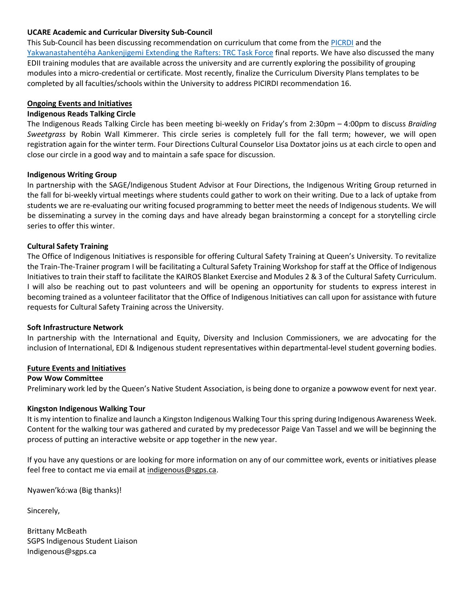### **UCARE Academic and Curricular Diversity Sub-Council**

This Sub-Council has been discussing recommendation on curriculum that come from th[e PICRDI](https://www.queensu.ca/inclusive/sites/iqwww/files/2021-04/PICRDI-Final-Report-accessible.pdf) and the [Yakwanastahentéha Aankenjigemi Extending the Rafters: TRC Task Force](https://www.queensu.ca/inclusive/sites/iqwww/files/2021-04/(WEB%20VERSION)%20Final%20Report%20of%20the%20Truth%20and%20Reconciliation%20Commission%20Task%20Force.pdf) final reports. We have also discussed the many EDII training modules that are available across the university and are currently exploring the possibility of grouping modules into a micro-credential or certificate. Most recently, finalize the Curriculum Diversity Plans templates to be completed by all faculties/schools within the University to address PICIRDI recommendation 16.

### **Ongoing Events and Initiatives**

### **Indigenous Reads Talking Circle**

The Indigenous Reads Talking Circle has been meeting bi-weekly on Friday's from 2:30pm – 4:00pm to discuss *Braiding Sweetgrass* by Robin Wall Kimmerer. This circle series is completely full for the fall term; however, we will open registration again for the winter term. Four Directions Cultural Counselor Lisa Doxtator joins us at each circle to open and close our circle in a good way and to maintain a safe space for discussion.

### **Indigenous Writing Group**

In partnership with the SAGE/Indigenous Student Advisor at Four Directions, the Indigenous Writing Group returned in the fall for bi-weekly virtual meetings where students could gather to work on their writing. Due to a lack of uptake from students we are re-evaluating our writing focused programming to better meet the needs of Indigenous students. We will be disseminating a survey in the coming days and have already began brainstorming a concept for a storytelling circle series to offer this winter.

### **Cultural Safety Training**

The Office of Indigenous Initiatives is responsible for offering Cultural Safety Training at Queen's University. To revitalize the Train-The-Trainer program I will be facilitating a Cultural Safety Training Workshop for staff at the Office of Indigenous Initiatives to train their staff to facilitate the KAIROS Blanket Exercise and Modules 2 & 3 of the Cultural Safety Curriculum. I will also be reaching out to past volunteers and will be opening an opportunity for students to express interest in becoming trained as a volunteer facilitator that the Office of Indigenous Initiatives can call upon for assistance with future requests for Cultural Safety Training across the University.

### **Soft Infrastructure Network**

In partnership with the International and Equity, Diversity and Inclusion Commissioners, we are advocating for the inclusion of International, EDI & Indigenous student representatives within departmental-level student governing bodies.

#### **Future Events and Initiatives**

#### **Pow Wow Committee**

Preliminary work led by the Queen's Native Student Association, is being done to organize a powwow event for next year.

### **Kingston Indigenous Walking Tour**

It is my intention to finalize and launch a Kingston Indigenous Walking Tour this spring during Indigenous Awareness Week. Content for the walking tour was gathered and curated by my predecessor Paige Van Tassel and we will be beginning the process of putting an interactive website or app together in the new year.

If you have any questions or are looking for more information on any of our committee work, events or initiatives please feel free to contact me via email at [indigenous@sgps.ca.](mailto:indigenous@sgps.ca)

Nyawen'kó:wa (Big thanks)!

Sincerely,

Brittany McBeath SGPS Indigenous Student Liaison Indigenous@sgps.ca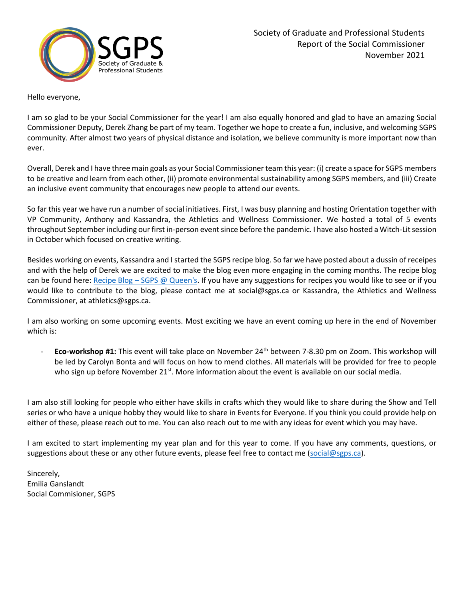

Hello everyone,

I am so glad to be your Social Commissioner for the year! I am also equally honored and glad to have an amazing Social Commissioner Deputy, Derek Zhang be part of my team. Together we hope to create a fun, inclusive, and welcoming SGPS community. After almost two years of physical distance and isolation, we believe community is more important now than ever.

Overall, Derek and I have three main goals as your Social Commissioner team this year: (i) create a space for SGPS members to be creative and learn from each other, (ii) promote environmental sustainability among SGPS members, and (iii) Create an inclusive event community that encourages new people to attend our events.

So far this year we have run a number of social initiatives. First, I was busy planning and hosting Orientation together with VP Community, Anthony and Kassandra, the Athletics and Wellness Commissioner. We hosted a total of 5 events throughout September including our first in-person event since before the pandemic. I have also hosted a Witch-Lit session in October which focused on creative writing.

Besides working on events, Kassandra and I started the SGPS recipe blog. So far we have posted about a dussin of receipes and with the help of Derek we are excited to make the blog even more engaging in the coming months. The recipe blog can be found here: Recipe Blog – [SGPS @ Queen's.](https://sgps.ca/recipe-blog/) If you have any suggestions for recipes you would like to see or if you would like to contribute to the blog, please contact me at social@sgps.ca or Kassandra, the Athletics and Wellness Commissioner, at athletics@sgps.ca.

I am also working on some upcoming events. Most exciting we have an event coming up here in the end of November which is:

**Eco-workshop #1:** This event will take place on November 24<sup>th</sup> between 7-8.30 pm on Zoom. This workshop will be led by Carolyn Bonta and will focus on how to mend clothes. All materials will be provided for free to people who sign up before November 21<sup>st</sup>. More information about the event is available on our social media.

I am also still looking for people who either have skills in crafts which they would like to share during the Show and Tell series or who have a unique hobby they would like to share in Events for Everyone. If you think you could provide help on either of these, please reach out to me. You can also reach out to me with any ideas for event which you may have.

I am excited to start implementing my year plan and for this year to come. If you have any comments, questions, or suggestions about these or any other future events, please feel free to contact me [\(social@sgps.ca\)](mailto:social@sgps.ca).

Sincerely, Emilia Ganslandt Social Commisioner, SGPS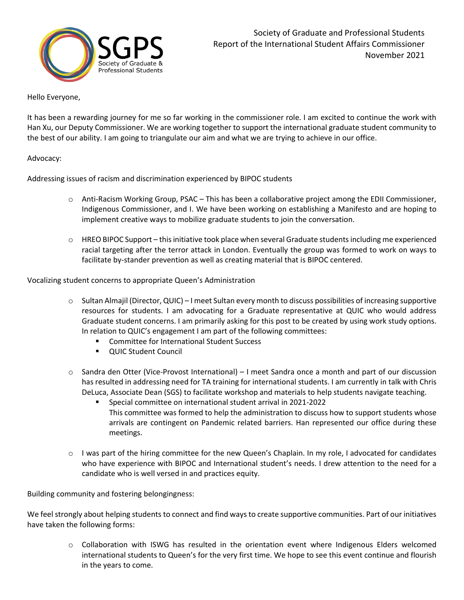

Hello Everyone,

It has been a rewarding journey for me so far working in the commissioner role. I am excited to continue the work with Han Xu, our Deputy Commissioner. We are working together to support the international graduate student community to the best of our ability. I am going to triangulate our aim and what we are trying to achieve in our office.

Advocacy:

Addressing issues of racism and discrimination experienced by BIPOC students

- o Anti-Racism Working Group, PSAC This has been a collaborative project among the EDII Commissioner, Indigenous Commissioner, and I. We have been working on establishing a Manifesto and are hoping to implement creative ways to mobilize graduate students to join the conversation.
- $\circ$  HREO BIPOC Support this initiative took place when several Graduate students including me experienced racial targeting after the terror attack in London. Eventually the group was formed to work on ways to facilitate by-stander prevention as well as creating material that is BIPOC centered.

Vocalizing student concerns to appropriate Queen's Administration

- $\circ$  Sultan Almajil (Director, QUIC) I meet Sultan every month to discuss possibilities of increasing supportive resources for students. I am advocating for a Graduate representative at QUIC who would address Graduate student concerns. I am primarily asking for this post to be created by using work study options. In relation to QUIC's engagement I am part of the following committees:
	- Committee for International Student Success
	- QUIC Student Council
- o Sandra den Otter (Vice-Provost International) I meet Sandra once a month and part of our discussion has resulted in addressing need for TA training for international students. I am currently in talk with Chris DeLuca, Associate Dean (SGS) to facilitate workshop and materials to help students navigate teaching.
	- Special committee on international student arrival in 2021-2022 This committee was formed to help the administration to discuss how to support students whose arrivals are contingent on Pandemic related barriers. Han represented our office during these meetings.
- o I was part of the hiring committee for the new Queen's Chaplain. In my role, I advocated for candidates who have experience with BIPOC and International student's needs. I drew attention to the need for a candidate who is well versed in and practices equity.

Building community and fostering belongingness:

We feel strongly about helping students to connect and find ways to create supportive communities. Part of our initiatives have taken the following forms:

> o Collaboration with ISWG has resulted in the orientation event where Indigenous Elders welcomed international students to Queen's for the very first time. We hope to see this event continue and flourish in the years to come.